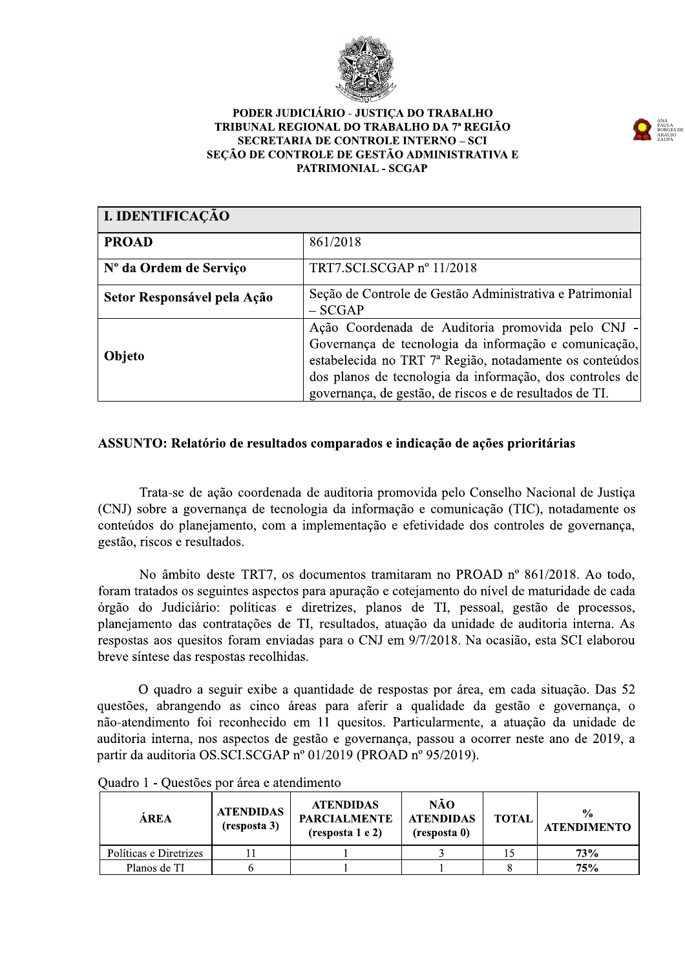

#### PODER JUDICIÁRIO - JUSTICA DO TRABALHO TRIBUNAL REGIONAL DO TRABALHO DA 7ª REGIÃO **SECRETARIA DE CONTROLE INTERNO - SCI** SEÇÃO DE CONTROLE DE GESTÃO ADMINISTRATIVA E PATRIMONIAL - SCGAP

| I. IDENTIFICAÇÃO            |                                                                                                                                                                                                                                                                                              |
|-----------------------------|----------------------------------------------------------------------------------------------------------------------------------------------------------------------------------------------------------------------------------------------------------------------------------------------|
| <b>PROAD</b>                | 861/2018                                                                                                                                                                                                                                                                                     |
| Nº da Ordem de Serviço      | TRT7.SCI.SCGAP nº 11/2018                                                                                                                                                                                                                                                                    |
| Setor Responsável pela Ação | Seção de Controle de Gestão Administrativa e Patrimonial<br>$-$ SCGAP                                                                                                                                                                                                                        |
| Objeto                      | Ação Coordenada de Auditoria promovida pelo CNJ -<br>Governança de tecnologia da informação e comunicação,<br>estabelecida no TRT 7ª Região, notadamente os conteúdos<br>dos planos de tecnologia da informação, dos controles de<br>governança, de gestão, de riscos e de resultados de TI. |

# ASSUNTO: Relatório de resultados comparados e indicação de ações prioritárias

Trata-se de ação coordenada de auditoria promovida pelo Conselho Nacional de Justiça (CNJ) sobre a governança de tecnologia da informação e comunicação (TIC), notadamente os conteúdos do planejamento, com a implementação e efetividade dos controles de governança, gestão, riscos e resultados.

No âmbito deste TRT7, os documentos tramitaram no PROAD nº 861/2018. Ao todo, foram tratados os seguintes aspectos para apuração e cotejamento do nível de maturidade de cada órgão do Judiciário: políticas e diretrizes, planos de TI, pessoal, gestão de processos, planejamento das contratações de TI, resultados, atuação da unidade de auditoria interna. As respostas aos quesitos foram enviadas para o CNJ em 9/7/2018. Na ocasião, esta SCI elaborou breve síntese das respostas recolhidas.

O quadro a seguir exibe a quantidade de respostas por área, em cada situação. Das 52 questões, abrangendo as cinco áreas para aferir a qualidade da gestão e governança, o não-atendimento foi reconhecido em 11 quesitos. Particularmente, a atuação da unidade de auditoria interna, nos aspectos de gestão e governanca, passou a ocorrer neste ano de 2019, a partir da auditoria OS.SCI.SCGAP nº 01/2019 (PROAD nº 95/2019).

| ÁREA                   | <b>ATENDIDAS</b><br>(resposta 3) | <b>ATENDIDAS</b><br><b>PARCIALMENTE</b><br>(resposta 1 e 2) | NÃO<br><b>ATENDIDAS</b><br>(resposta 0) | <b>TOTAL</b> | $\frac{0}{0}$<br><b>ATENDIMENTO</b> |
|------------------------|----------------------------------|-------------------------------------------------------------|-----------------------------------------|--------------|-------------------------------------|
| Políticas e Diretrizes |                                  |                                                             |                                         |              | 73%                                 |
| Planos de TI           |                                  |                                                             |                                         |              | 75%                                 |

Quadro 1 - Questões por área e atendimento

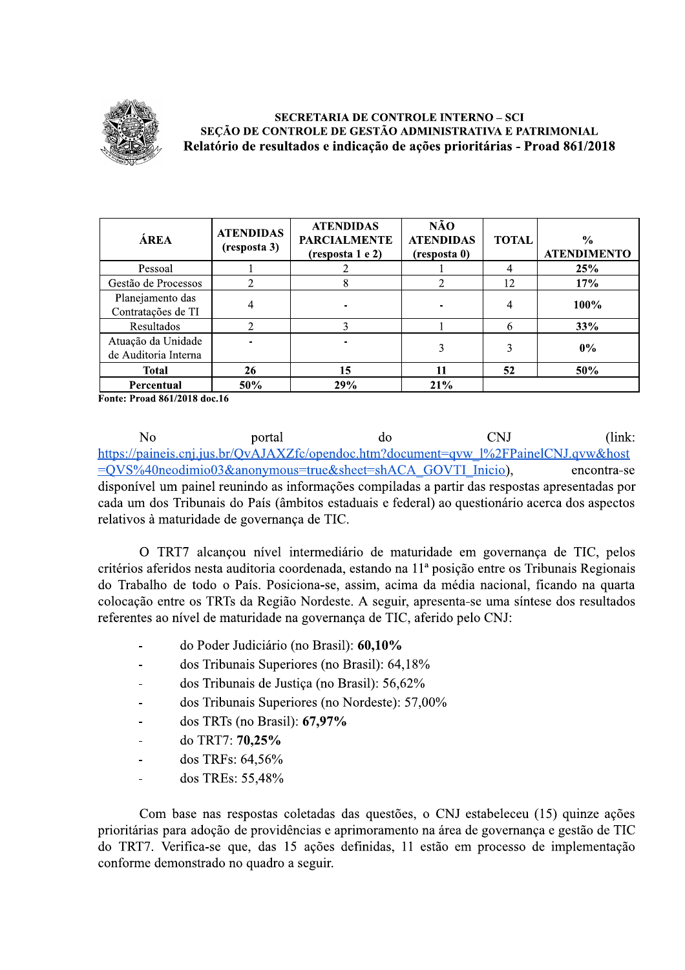

### **SECRETARIA DE CONTROLE INTERNO - SCI** SEÇÃO DE CONTROLE DE GESTÃO ADMINISTRATIVA E PATRIMONIAL Relatório de resultados e indicação de ações prioritárias - Proad 861/2018

| ÁREA                                       | <b>ATENDIDAS</b><br>(resposta 3) | <b>ATENDIDAS</b><br><b>PARCIALMENTE</b><br>(resposta 1 e 2) | NÃO<br><b>ATENDIDAS</b><br>(resposta 0) | <b>TOTAL</b> | $\frac{0}{0}$<br><b>ATENDIMENTO</b> |
|--------------------------------------------|----------------------------------|-------------------------------------------------------------|-----------------------------------------|--------------|-------------------------------------|
| Pessoal                                    |                                  |                                                             |                                         | 4            | 25%                                 |
| Gestão de Processos                        |                                  | 8                                                           |                                         | 12           | 17%                                 |
| Planejamento das<br>Contratações de TI     |                                  |                                                             |                                         | 4            | 100%                                |
| Resultados                                 |                                  |                                                             |                                         | 6            | 33%                                 |
| Atuação da Unidade<br>de Auditoria Interna |                                  |                                                             |                                         | 3            | $0\%$                               |
| <b>Total</b>                               | 26                               | 15                                                          |                                         | 52           | 50%                                 |
| Percentual                                 | 50%                              | 29%                                                         | 21%                                     |              |                                     |

Fonte: Proad 861/2018 doc.16

 $\overline{N}$ **CNI**  $(link:$ portal  $d\alpha$ https://paineis.cnj.jus.br/QvAJAXZfc/opendoc.htm?document=qvw\_l%2FPainelCNJ.qvw&host =OVS%40neodimio03&anonymous=true&sheet=shACA GOVTI Inicio), encontra-se disponível um painel reunindo as informações compiladas a partir das respostas apresentadas por cada um dos Tribunais do País (âmbitos estaduais e federal) ao questionário acerca dos aspectos relativos à maturidade de governança de TIC.

O TRT7 alcançou nível intermediário de maturidade em governança de TIC, pelos critérios aferidos nesta auditoria coordenada, estando na 11ª posição entre os Tribunais Regionais do Trabalho de todo o País. Posiciona-se, assim, acima da média nacional, ficando na quarta colocação entre os TRTs da Região Nordeste. A seguir, apresenta-se uma síntese dos resultados referentes ao nível de maturidade na governança de TIC, aferido pelo CNJ:

- do Poder Judiciário (no Brasil): 60,10%
- dos Tribunais Superiores (no Brasil): 64,18%  $\overline{a}$
- dos Tribunais de Justiça (no Brasil): 56,62%
- dos Tribunais Superiores (no Nordeste): 57,00%  $\overline{a}$
- dos TRTs (no Brasil):  $67,97\%$  $\overline{a}$
- do TRT7: 70,25%  $\overline{a}$
- dos TRFs: 64,56%  $\overline{a}$
- dos TREs: 55,48%

Com base nas respostas coletadas das questões, o CNJ estabeleceu (15) quinze ações prioritárias para adoção de providências e aprimoramento na área de governança e gestão de TIC do TRT7. Verifica-se que, das 15 ações definidas, 11 estão em processo de implementação conforme demonstrado no quadro a seguir.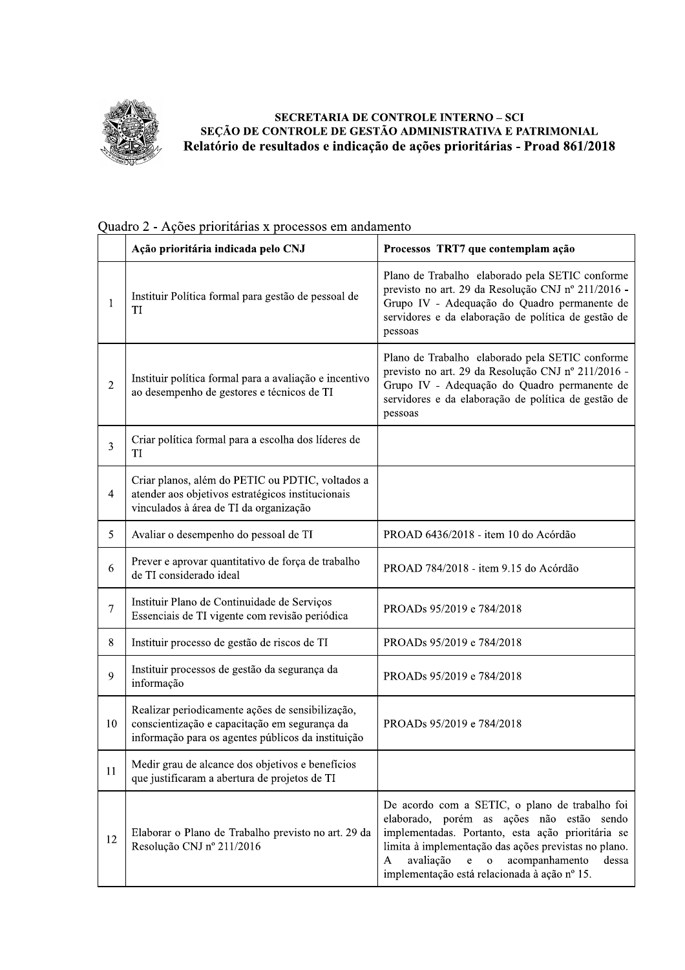

# SECRETARIA DE CONTROLE INTERNO - SCI SEÇÃO DE CONTROLE DE GESTÃO ADMINISTRATIVA E PATRIMONIAL Relatório de resultados e indicação de ações prioritárias - Proad 861/2018

|                  | Ação prioritária indicada pelo CNJ                                                                                                                      | Processos TRT7 que contemplam ação                                                                                                                                                                                                                                                                                               |
|------------------|---------------------------------------------------------------------------------------------------------------------------------------------------------|----------------------------------------------------------------------------------------------------------------------------------------------------------------------------------------------------------------------------------------------------------------------------------------------------------------------------------|
| 1                | Instituir Política formal para gestão de pessoal de<br>TI                                                                                               | Plano de Trabalho elaborado pela SETIC conforme<br>previsto no art. 29 da Resolução CNJ nº 211/2016 -<br>Grupo IV - Adequação do Quadro permanente de<br>servidores e da elaboração de política de gestão de<br>pessoas                                                                                                          |
| $\overline{2}$   | Instituir política formal para a avaliação e incentivo<br>ao desempenho de gestores e técnicos de TI                                                    | Plano de Trabalho elaborado pela SETIC conforme<br>previsto no art. 29 da Resolução CNJ nº 211/2016 -<br>Grupo IV - Adequação do Quadro permanente de<br>servidores e da elaboração de política de gestão de<br>pessoas                                                                                                          |
| 3                | Criar política formal para a escolha dos líderes de<br>TI                                                                                               |                                                                                                                                                                                                                                                                                                                                  |
| $\overline{4}$   | Criar planos, além do PETIC ou PDTIC, voltados a<br>atender aos objetivos estratégicos institucionais<br>vinculados à área de TI da organização         |                                                                                                                                                                                                                                                                                                                                  |
| 5                | Avaliar o desempenho do pessoal de TI                                                                                                                   | PROAD 6436/2018 - item 10 do Acórdão                                                                                                                                                                                                                                                                                             |
| 6                | Prever e aprovar quantitativo de força de trabalho<br>de TI considerado ideal                                                                           | PROAD 784/2018 - item 9.15 do Acórdão                                                                                                                                                                                                                                                                                            |
| $\boldsymbol{7}$ | Instituir Plano de Continuidade de Serviços<br>Essenciais de TI vigente com revisão periódica                                                           | PROADs 95/2019 e 784/2018                                                                                                                                                                                                                                                                                                        |
| 8                | Instituir processo de gestão de riscos de TI                                                                                                            | PROADs 95/2019 e 784/2018                                                                                                                                                                                                                                                                                                        |
| 9                | Instituir processos de gestão da segurança da<br>informação                                                                                             | PROADs 95/2019 e 784/2018                                                                                                                                                                                                                                                                                                        |
| 10               | Realizar periodicamente ações de sensibilização,<br>conscientização e capacitação em segurança da<br>informação para os agentes públicos da instituição | PROADs 95/2019 e 784/2018                                                                                                                                                                                                                                                                                                        |
| 11               | Medir grau de alcance dos objetivos e benefícios<br>que justificaram a abertura de projetos de TI                                                       |                                                                                                                                                                                                                                                                                                                                  |
| 12               | Elaborar o Plano de Trabalho previsto no art. 29 da<br>Resolução CNJ nº 211/2016                                                                        | De acordo com a SETIC, o plano de trabalho foi<br>elaborado, porém as<br>ações não estão<br>sendo<br>implementadas. Portanto, esta ação prioritária se<br>limita à implementação das ações previstas no plano.<br>avaliação<br>acompanhamento<br>e<br>A<br>$\mathbf{o}$<br>dessa<br>implementação está relacionada à ação nº 15. |

# Quadro 2 - Ações prioritárias x processos em andamento